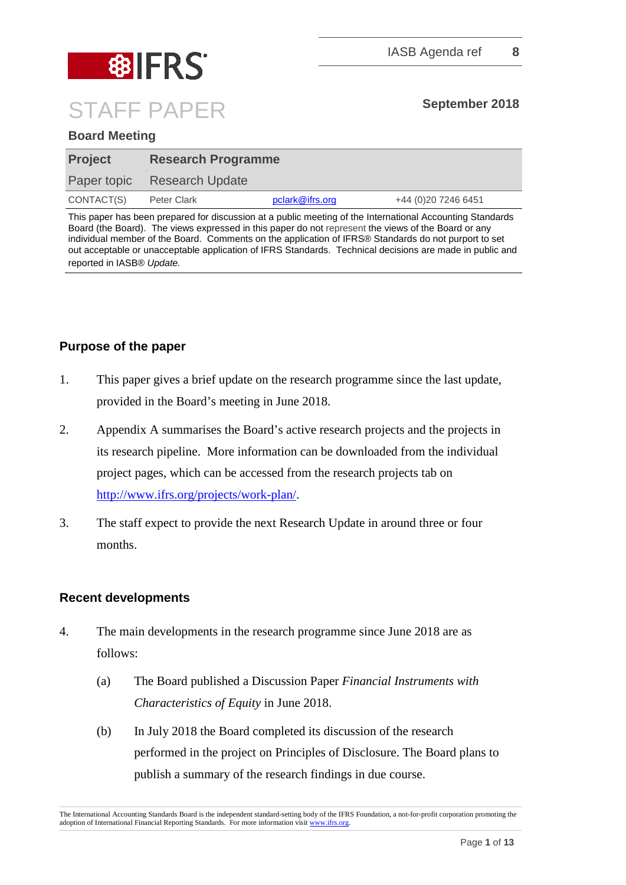

# **Board Meeting**

| <b>Project</b> | <b>Research Programme</b>   |                 |                      |
|----------------|-----------------------------|-----------------|----------------------|
|                | Paper topic Research Update |                 |                      |
| CONTACT(S)     | Peter Clark                 | pclark@ifrs.org | +44 (0) 20 7246 6451 |

This paper has been prepared for discussion at a public meeting of the International Accounting Standards Board (the Board). The views expressed in this paper do not represent the views of the Board or any individual member of the Board. Comments on the application of IFRS® Standards do not purport to set out acceptable or unacceptable application of IFRS Standards. Technical decisions are made in public and reported in IASB® *Update.*

# **Purpose of the paper**

- 1. This paper gives a brief update on the research programme since the last update, provided in the Board's meeting in June 2018.
- 2. Appendix A summarises the Board's active research projects and the projects in its research pipeline. More information can be downloaded from the individual project pages, which can be accessed from the research projects tab on [http://www.ifrs.org/projects/work-plan/.](http://www.ifrs.org/projects/work-plan/)
- 3. The staff expect to provide the next Research Update in around three or four months.

## **Recent developments**

- 4. The main developments in the research programme since June 2018 are as follows:
	- (a) The Board published a Discussion Paper *Financial Instruments with Characteristics of Equity* in June 2018.
	- (b) In July 2018 the Board completed its discussion of the research performed in the project on Principles of Disclosure. The Board plans to publish a summary of the research findings in due course.

The International Accounting Standards Board is the independent standard-setting body of the IFRS Foundation, a not-for-profit corporation promoting the adoption of International Financial Reporting Standards. For more information visit [www.ifrs.org.](http://www.ifrs.org/)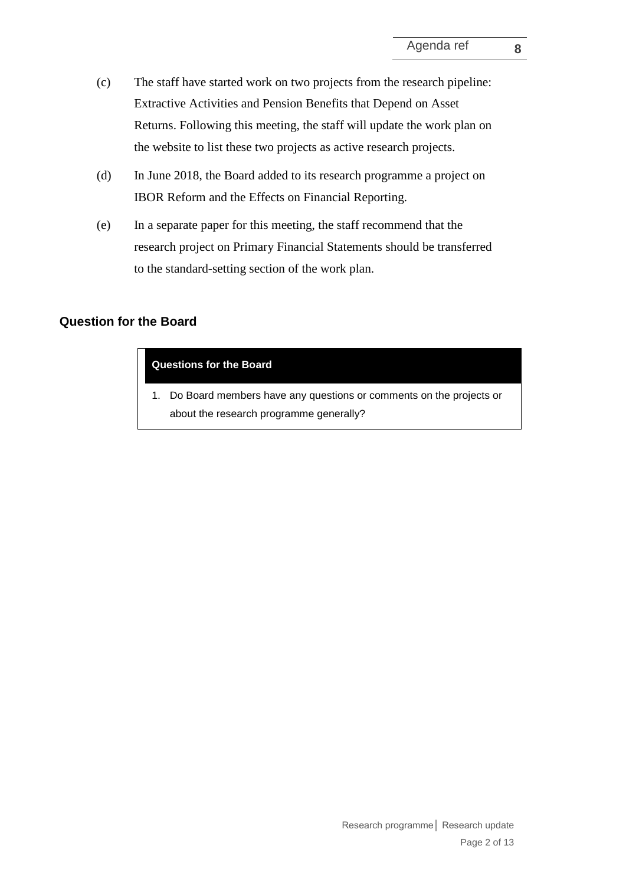- (c) The staff have started work on two projects from the research pipeline: Extractive Activities and Pension Benefits that Depend on Asset Returns. Following this meeting, the staff will update the work plan on the website to list these two projects as active research projects.
- (d) In June 2018, the Board added to its research programme a project on IBOR Reform and the Effects on Financial Reporting.
- (e) In a separate paper for this meeting, the staff recommend that the research project on Primary Financial Statements should be transferred to the standard-setting section of the work plan.

# **Question for the Board**

#### **Questions for the Board**

1. Do Board members have any questions or comments on the projects or about the research programme generally?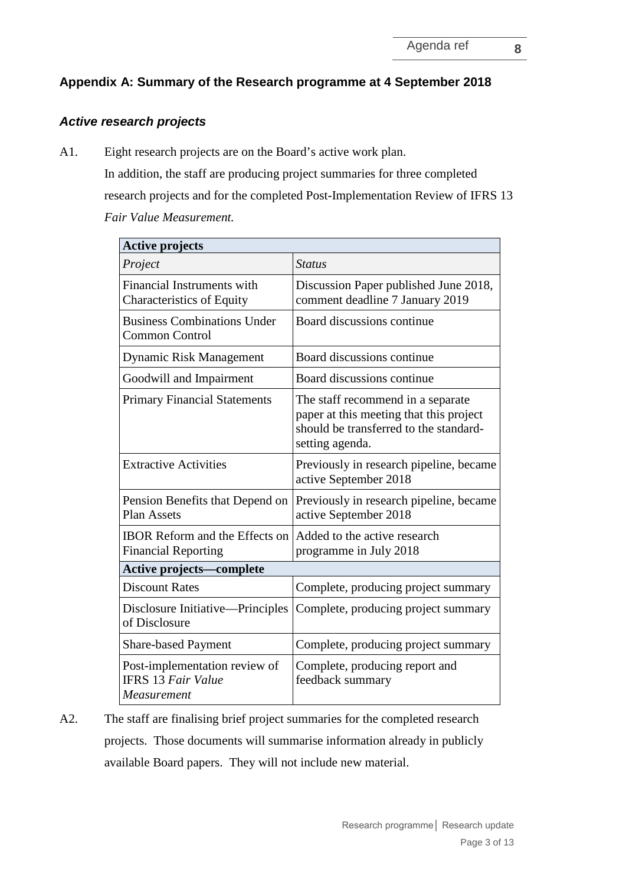# **Appendix A: Summary of the Research programme at 4 September 2018**

# *Active research projects*

A1. Eight research projects are on the Board's active work plan. In addition, the staff are producing project summaries for three completed research projects and for the completed Post-Implementation Review of IFRS 13 *Fair Value Measurement.*

| <b>Active projects</b>                                                    |                                                                                                                                           |  |
|---------------------------------------------------------------------------|-------------------------------------------------------------------------------------------------------------------------------------------|--|
| Project                                                                   | <i>Status</i>                                                                                                                             |  |
| Financial Instruments with<br><b>Characteristics of Equity</b>            | Discussion Paper published June 2018,<br>comment deadline 7 January 2019                                                                  |  |
| <b>Business Combinations Under</b><br><b>Common Control</b>               | Board discussions continue                                                                                                                |  |
| <b>Dynamic Risk Management</b>                                            | Board discussions continue                                                                                                                |  |
| Goodwill and Impairment                                                   | Board discussions continue                                                                                                                |  |
| <b>Primary Financial Statements</b>                                       | The staff recommend in a separate<br>paper at this meeting that this project<br>should be transferred to the standard-<br>setting agenda. |  |
| <b>Extractive Activities</b>                                              | Previously in research pipeline, became<br>active September 2018                                                                          |  |
| Pension Benefits that Depend on<br><b>Plan Assets</b>                     | Previously in research pipeline, became<br>active September 2018                                                                          |  |
| <b>IBOR Reform and the Effects on</b><br><b>Financial Reporting</b>       | Added to the active research<br>programme in July 2018                                                                                    |  |
| <b>Active projects—complete</b>                                           |                                                                                                                                           |  |
| <b>Discount Rates</b>                                                     | Complete, producing project summary                                                                                                       |  |
| Disclosure Initiative—Principles<br>of Disclosure                         | Complete, producing project summary                                                                                                       |  |
| <b>Share-based Payment</b>                                                | Complete, producing project summary                                                                                                       |  |
| Post-implementation review of<br><b>IFRS 13 Fair Value</b><br>Measurement | Complete, producing report and<br>feedback summary                                                                                        |  |

A2. The staff are finalising brief project summaries for the completed research projects. Those documents will summarise information already in publicly available Board papers. They will not include new material.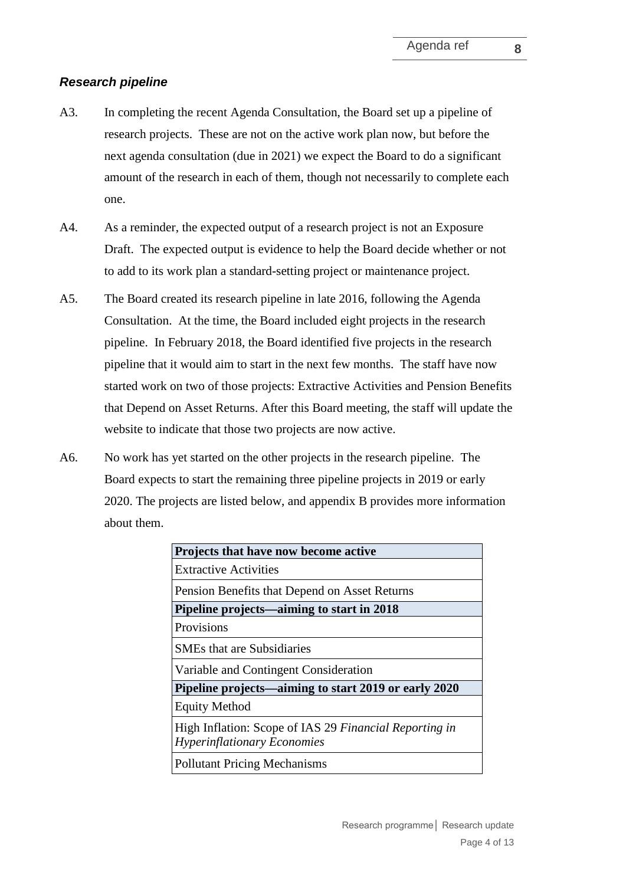# *Research pipeline*

- A3. In completing the recent Agenda Consultation, the Board set up a pipeline of research projects. These are not on the active work plan now, but before the next agenda consultation (due in 2021) we expect the Board to do a significant amount of the research in each of them, though not necessarily to complete each one.
- A4. As a reminder, the expected output of a research project is not an Exposure Draft. The expected output is evidence to help the Board decide whether or not to add to its work plan a standard-setting project or maintenance project.
- A5. The Board created its research pipeline in late 2016, following the Agenda Consultation. At the time, the Board included eight projects in the research pipeline. In February 2018, the Board identified five projects in the research pipeline that it would aim to start in the next few months. The staff have now started work on two of those projects: Extractive Activities and Pension Benefits that Depend on Asset Returns. After this Board meeting, the staff will update the website to indicate that those two projects are now active.
- A6. No work has yet started on the other projects in the research pipeline. The Board expects to start the remaining three pipeline projects in 2019 or early 2020. The projects are listed below, and appendix B provides more information about them.

| Projects that have now become active                                                         |
|----------------------------------------------------------------------------------------------|
| <b>Extractive Activities</b>                                                                 |
| Pension Benefits that Depend on Asset Returns                                                |
| Pipeline projects—aiming to start in 2018                                                    |
| <b>Provisions</b>                                                                            |
| <b>SMEs that are Subsidiaries</b>                                                            |
| Variable and Contingent Consideration                                                        |
| Pipeline projects—aiming to start 2019 or early 2020                                         |
| <b>Equity Method</b>                                                                         |
| High Inflation: Scope of IAS 29 Financial Reporting in<br><b>Hyperinflationary Economies</b> |
| <b>Pollutant Pricing Mechanisms</b>                                                          |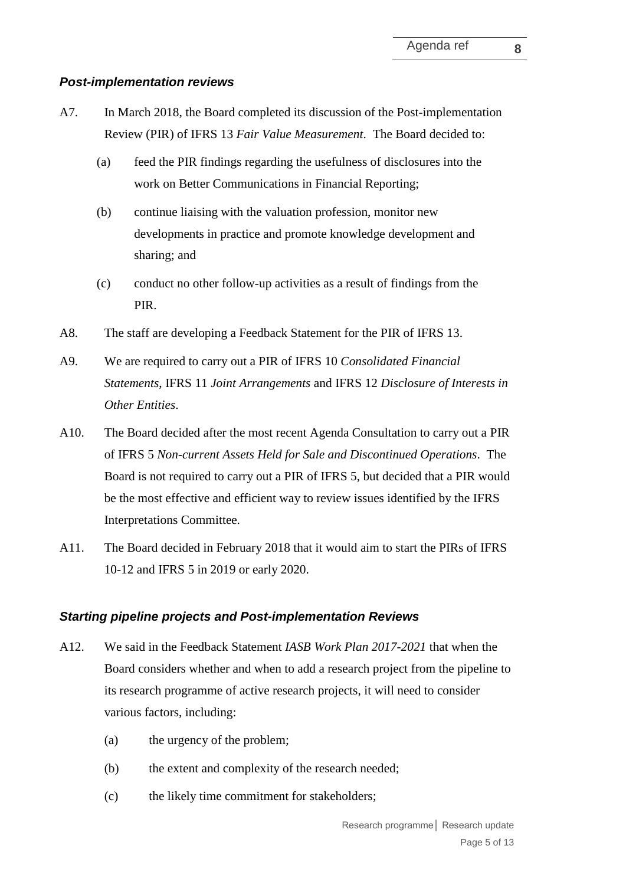# *Post-implementation reviews*

- A7. In March 2018, the Board completed its discussion of the Post-implementation Review (PIR) of IFRS 13 *Fair Value Measurement*. The Board decided to:
	- (a) feed the PIR findings regarding the usefulness of disclosures into the work on Better Communications in Financial Reporting;
	- (b) continue liaising with the valuation profession, monitor new developments in practice and promote knowledge development and sharing; and
	- (c) conduct no other follow-up activities as a result of findings from the PIR.
- A8. The staff are developing a Feedback Statement for the PIR of IFRS 13.
- A9. We are required to carry out a PIR of IFRS 10 *Consolidated Financial Statements*, IFRS 11 *Joint Arrangements* and IFRS 12 *Disclosure of Interests in Other Entities*.
- A10. The Board decided after the most recent Agenda Consultation to carry out a PIR of IFRS 5 *Non-current Assets Held for Sale and Discontinued Operations*. The Board is not required to carry out a PIR of IFRS 5, but decided that a PIR would be the most effective and efficient way to review issues identified by the IFRS Interpretations Committee.
- A11. The Board decided in February 2018 that it would aim to start the PIRs of IFRS 10-12 and IFRS 5 in 2019 or early 2020.

# *Starting pipeline projects and Post-implementation Reviews*

- A12. We said in the Feedback Statement *IASB Work Plan 2017-2021* that when the Board considers whether and when to add a research project from the pipeline to its research programme of active research projects, it will need to consider various factors, including:
	- (a) the urgency of the problem;
	- (b) the extent and complexity of the research needed;
	- (c) the likely time commitment for stakeholders;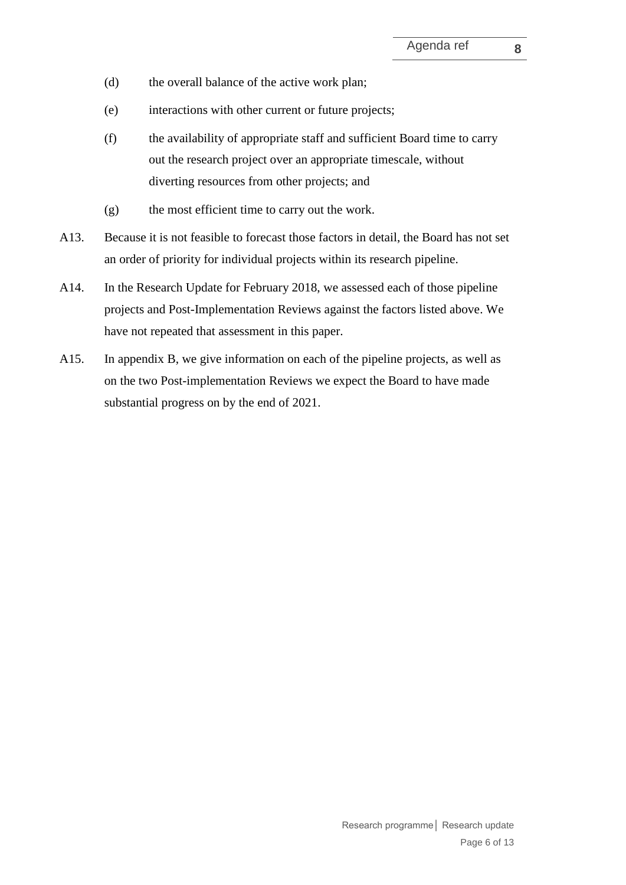- (d) the overall balance of the active work plan;
- (e) interactions with other current or future projects;
- (f) the availability of appropriate staff and sufficient Board time to carry out the research project over an appropriate timescale, without diverting resources from other projects; and
- (g) the most efficient time to carry out the work.
- A13. Because it is not feasible to forecast those factors in detail, the Board has not set an order of priority for individual projects within its research pipeline.
- A14. In the Research Update for February 2018, we assessed each of those pipeline projects and Post-Implementation Reviews against the factors listed above. We have not repeated that assessment in this paper.
- A15. In appendix B, we give information on each of the pipeline projects, as well as on the two Post-implementation Reviews we expect the Board to have made substantial progress on by the end of 2021.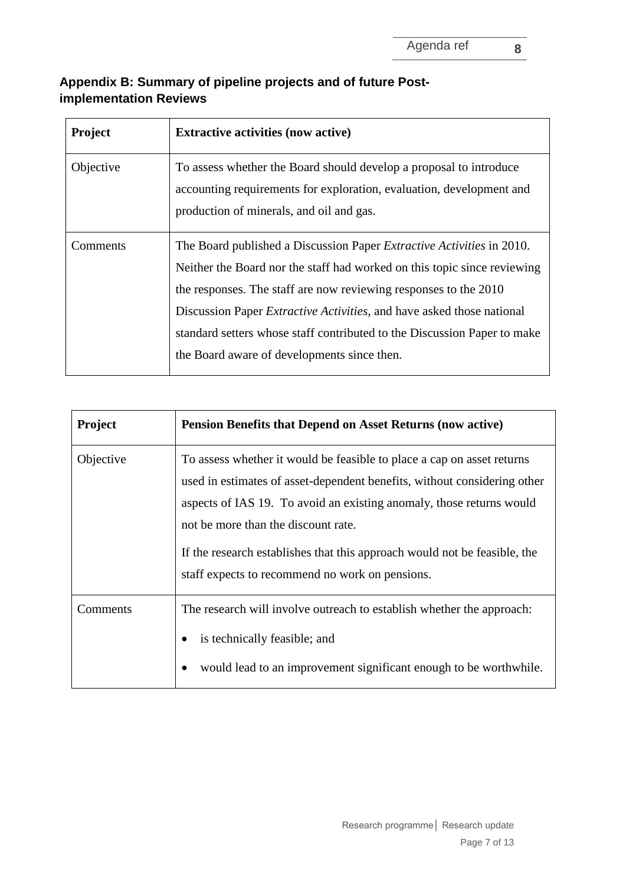# **Appendix B: Summary of pipeline projects and of future Postimplementation Reviews**

| <b>Project</b> | <b>Extractive activities (now active)</b>                                                                                                                                                                                                                                                                                                                                                                                                |
|----------------|------------------------------------------------------------------------------------------------------------------------------------------------------------------------------------------------------------------------------------------------------------------------------------------------------------------------------------------------------------------------------------------------------------------------------------------|
| Objective      | To assess whether the Board should develop a proposal to introduce<br>accounting requirements for exploration, evaluation, development and<br>production of minerals, and oil and gas.                                                                                                                                                                                                                                                   |
| Comments       | The Board published a Discussion Paper <i>Extractive Activities</i> in 2010.<br>Neither the Board nor the staff had worked on this topic since reviewing<br>the responses. The staff are now reviewing responses to the 2010<br>Discussion Paper <i>Extractive Activities</i> , and have asked those national<br>standard setters whose staff contributed to the Discussion Paper to make<br>the Board aware of developments since then. |

| <b>Project</b> | <b>Pension Benefits that Depend on Asset Returns (now active)</b>                                                                                                                                                                                                                                                                                                                                 |
|----------------|---------------------------------------------------------------------------------------------------------------------------------------------------------------------------------------------------------------------------------------------------------------------------------------------------------------------------------------------------------------------------------------------------|
| Objective      | To assess whether it would be feasible to place a cap on asset returns<br>used in estimates of asset-dependent benefits, without considering other<br>aspects of IAS 19. To avoid an existing anomaly, those returns would<br>not be more than the discount rate.<br>If the research establishes that this approach would not be feasible, the<br>staff expects to recommend no work on pensions. |
| Comments       | The research will involve outreach to establish whether the approach:<br>is technically feasible; and<br>would lead to an improvement significant enough to be worthwhile.                                                                                                                                                                                                                        |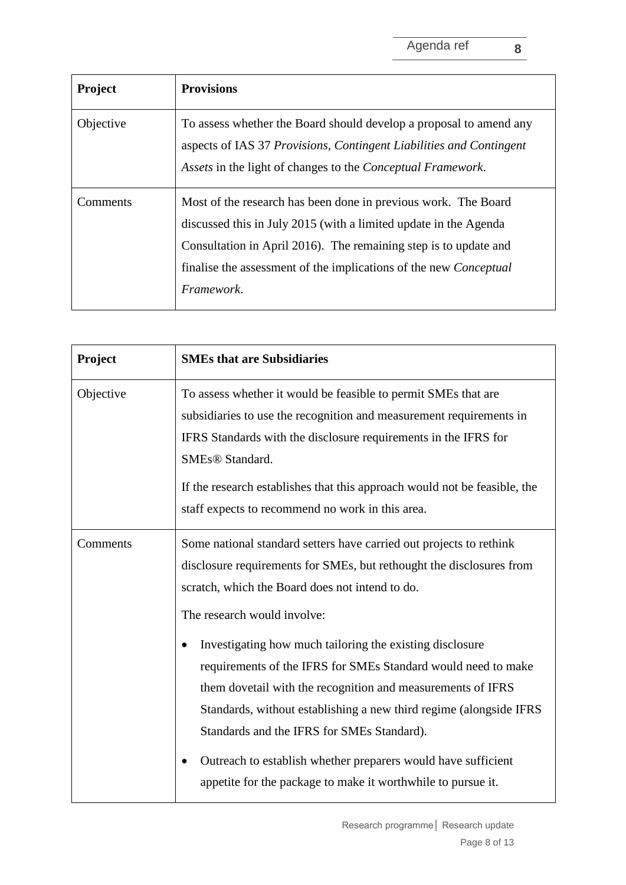| <b>Project</b> | <b>Provisions</b>                                                                                                                                                                                                                                                                                       |
|----------------|---------------------------------------------------------------------------------------------------------------------------------------------------------------------------------------------------------------------------------------------------------------------------------------------------------|
| Objective      | To assess whether the Board should develop a proposal to amend any<br>aspects of IAS 37 Provisions, Contingent Liabilities and Contingent<br>Assets in the light of changes to the <i>Conceptual Framework</i> .                                                                                        |
| Comments       | Most of the research has been done in previous work. The Board<br>discussed this in July 2015 (with a limited update in the Agenda<br>Consultation in April 2016). The remaining step is to update and<br>finalise the assessment of the implications of the new <i>Conceptual</i><br><i>Framework.</i> |

| Project   | <b>SMEs that are Subsidiaries</b>                                                                                                                                                                                                                                                                                                                                                                                                                                                                                                                                                                                                                                                           |
|-----------|---------------------------------------------------------------------------------------------------------------------------------------------------------------------------------------------------------------------------------------------------------------------------------------------------------------------------------------------------------------------------------------------------------------------------------------------------------------------------------------------------------------------------------------------------------------------------------------------------------------------------------------------------------------------------------------------|
| Objective | To assess whether it would be feasible to permit SMEs that are<br>subsidiaries to use the recognition and measurement requirements in<br>IFRS Standards with the disclosure requirements in the IFRS for<br>SMEs® Standard.<br>If the research establishes that this approach would not be feasible, the<br>staff expects to recommend no work in this area.                                                                                                                                                                                                                                                                                                                                |
| Comments  | Some national standard setters have carried out projects to rethink<br>disclosure requirements for SMEs, but rethought the disclosures from<br>scratch, which the Board does not intend to do.<br>The research would involve:<br>Investigating how much tailoring the existing disclosure<br>requirements of the IFRS for SMEs Standard would need to make<br>them dovetail with the recognition and measurements of IFRS<br>Standards, without establishing a new third regime (alongside IFRS<br>Standards and the IFRS for SMEs Standard).<br>Outreach to establish whether preparers would have sufficient<br>$\bullet$<br>appetite for the package to make it worthwhile to pursue it. |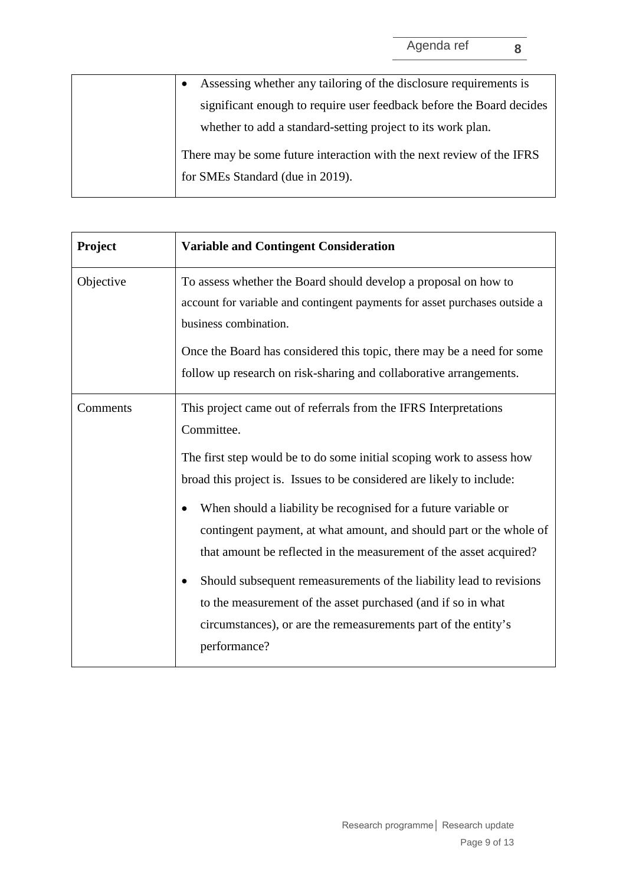| Assessing whether any tailoring of the disclosure requirements is     |
|-----------------------------------------------------------------------|
| significant enough to require user feedback before the Board decides  |
| whether to add a standard-setting project to its work plan.           |
| There may be some future interaction with the next review of the IFRS |
| for SMEs Standard (due in 2019).                                      |
|                                                                       |

| Project   | <b>Variable and Contingent Consideration</b>                                                                                                                                                                                                                                                                                                                                                                                                                                                                                                                                                                                                                                  |
|-----------|-------------------------------------------------------------------------------------------------------------------------------------------------------------------------------------------------------------------------------------------------------------------------------------------------------------------------------------------------------------------------------------------------------------------------------------------------------------------------------------------------------------------------------------------------------------------------------------------------------------------------------------------------------------------------------|
| Objective | To assess whether the Board should develop a proposal on how to<br>account for variable and contingent payments for asset purchases outside a<br>business combination.<br>Once the Board has considered this topic, there may be a need for some<br>follow up research on risk-sharing and collaborative arrangements.                                                                                                                                                                                                                                                                                                                                                        |
| Comments  | This project came out of referrals from the IFRS Interpretations<br>Committee.<br>The first step would be to do some initial scoping work to assess how<br>broad this project is. Issues to be considered are likely to include:<br>When should a liability be recognised for a future variable or<br>contingent payment, at what amount, and should part or the whole of<br>that amount be reflected in the measurement of the asset acquired?<br>Should subsequent remeasurements of the liability lead to revisions<br>٠<br>to the measurement of the asset purchased (and if so in what<br>circumstances), or are the remeasurements part of the entity's<br>performance? |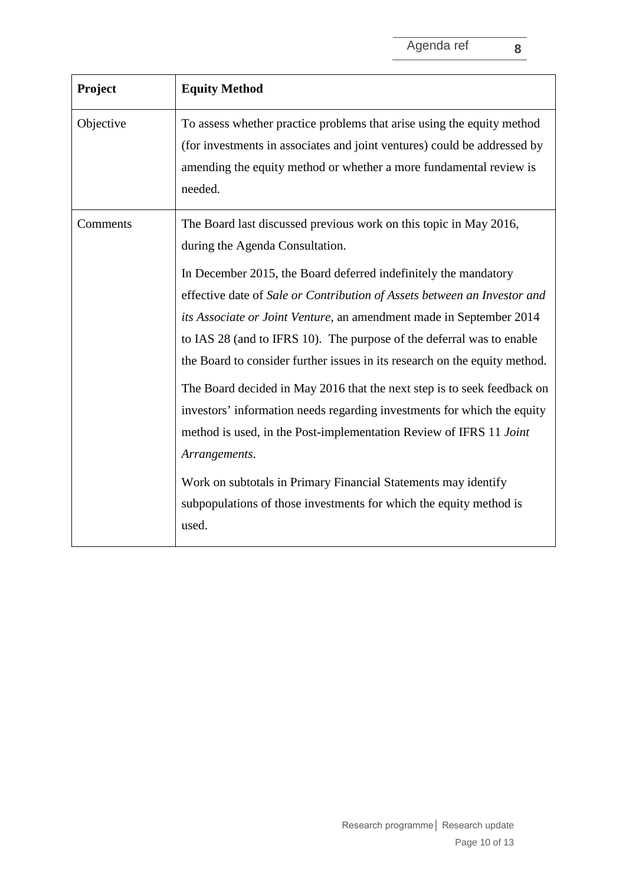| Project   | <b>Equity Method</b>                                                                                                                                                                                                                                                                                                                                                                     |
|-----------|------------------------------------------------------------------------------------------------------------------------------------------------------------------------------------------------------------------------------------------------------------------------------------------------------------------------------------------------------------------------------------------|
| Objective | To assess whether practice problems that arise using the equity method<br>(for investments in associates and joint ventures) could be addressed by<br>amending the equity method or whether a more fundamental review is<br>needed.                                                                                                                                                      |
| Comments  | The Board last discussed previous work on this topic in May 2016,<br>during the Agenda Consultation.<br>In December 2015, the Board deferred indefinitely the mandatory<br>effective date of Sale or Contribution of Assets between an Investor and                                                                                                                                      |
|           | <i>its Associate or Joint Venture</i> , an amendment made in September 2014<br>to IAS 28 (and to IFRS 10). The purpose of the deferral was to enable<br>the Board to consider further issues in its research on the equity method.<br>The Board decided in May 2016 that the next step is to seek feedback on<br>investors' information needs regarding investments for which the equity |
|           | method is used, in the Post-implementation Review of IFRS 11 Joint                                                                                                                                                                                                                                                                                                                       |

Work on subtotals in Primary Financial Statements may identify

subpopulations of those investments for which the equity method is

*Arrangements*.

used.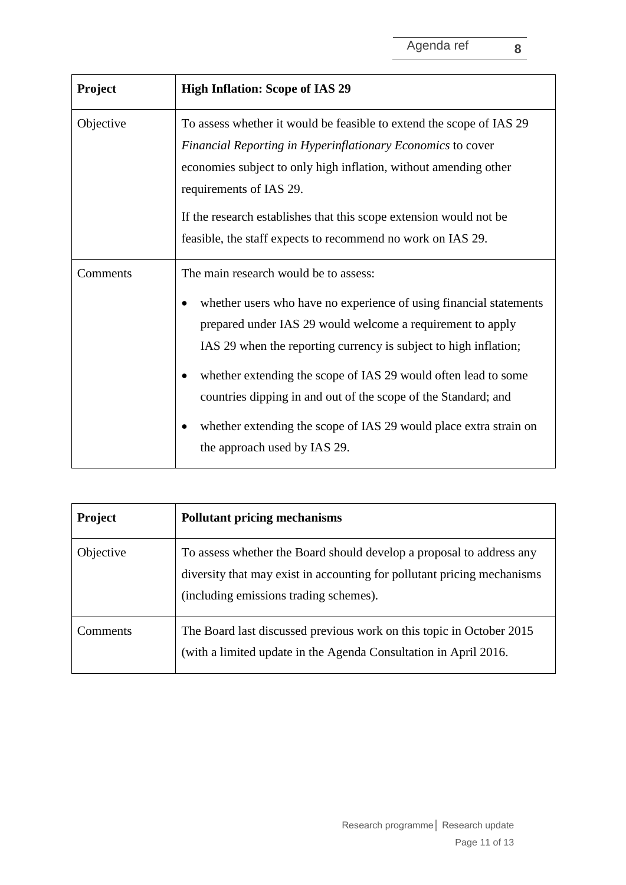| <b>Project</b> | <b>High Inflation: Scope of IAS 29</b>                                                                                                                                                                                                                                                                                                                                                                                                                                                 |
|----------------|----------------------------------------------------------------------------------------------------------------------------------------------------------------------------------------------------------------------------------------------------------------------------------------------------------------------------------------------------------------------------------------------------------------------------------------------------------------------------------------|
| Objective      | To assess whether it would be feasible to extend the scope of IAS 29<br>Financial Reporting in Hyperinflationary Economics to cover<br>economies subject to only high inflation, without amending other<br>requirements of IAS 29.<br>If the research establishes that this scope extension would not be<br>feasible, the staff expects to recommend no work on IAS 29.                                                                                                                |
| Comments       | The main research would be to assess:<br>whether users who have no experience of using financial statements<br>prepared under IAS 29 would welcome a requirement to apply<br>IAS 29 when the reporting currency is subject to high inflation;<br>whether extending the scope of IAS 29 would often lead to some<br>countries dipping in and out of the scope of the Standard; and<br>whether extending the scope of IAS 29 would place extra strain on<br>the approach used by IAS 29. |

| <b>Project</b> | <b>Pollutant pricing mechanisms</b>                                                                                                                                                       |
|----------------|-------------------------------------------------------------------------------------------------------------------------------------------------------------------------------------------|
| Objective      | To assess whether the Board should develop a proposal to address any<br>diversity that may exist in accounting for pollutant pricing mechanisms<br>(including emissions trading schemes). |
| Comments       | The Board last discussed previous work on this topic in October 2015<br>(with a limited update in the Agenda Consultation in April 2016.                                                  |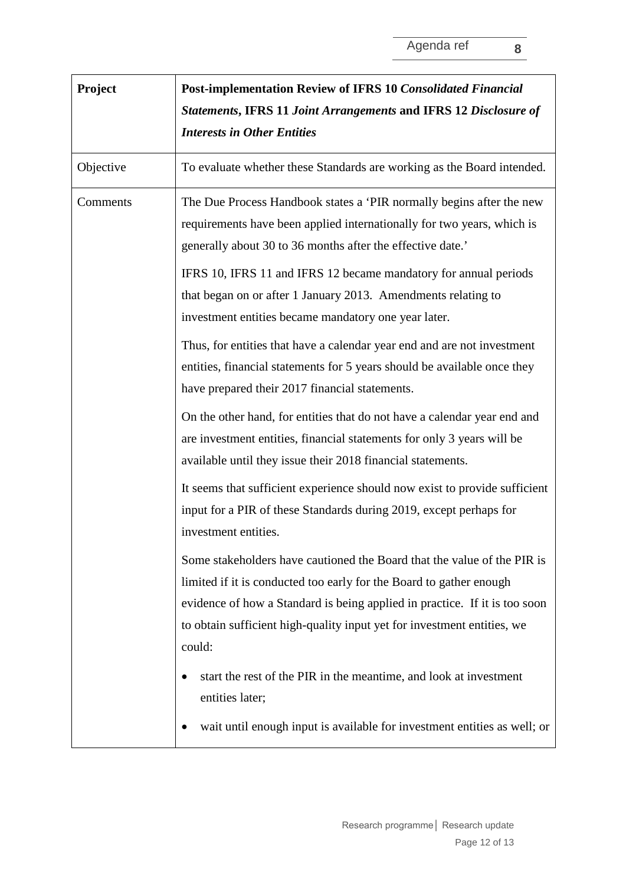| Project   | <b>Post-implementation Review of IFRS 10 Consolidated Financial</b><br>Statements, IFRS 11 Joint Arrangements and IFRS 12 Disclosure of<br><b>Interests in Other Entities</b>                                                                                                                                     |
|-----------|-------------------------------------------------------------------------------------------------------------------------------------------------------------------------------------------------------------------------------------------------------------------------------------------------------------------|
| Objective | To evaluate whether these Standards are working as the Board intended.                                                                                                                                                                                                                                            |
| Comments  | The Due Process Handbook states a 'PIR normally begins after the new<br>requirements have been applied internationally for two years, which is<br>generally about 30 to 36 months after the effective date.'                                                                                                      |
|           | IFRS 10, IFRS 11 and IFRS 12 became mandatory for annual periods<br>that began on or after 1 January 2013. Amendments relating to<br>investment entities became mandatory one year later.                                                                                                                         |
|           | Thus, for entities that have a calendar year end and are not investment<br>entities, financial statements for 5 years should be available once they<br>have prepared their 2017 financial statements.                                                                                                             |
|           | On the other hand, for entities that do not have a calendar year end and<br>are investment entities, financial statements for only 3 years will be<br>available until they issue their 2018 financial statements.                                                                                                 |
|           | It seems that sufficient experience should now exist to provide sufficient<br>input for a PIR of these Standards during 2019, except perhaps for<br>investment entities.                                                                                                                                          |
|           | Some stakeholders have cautioned the Board that the value of the PIR is<br>limited if it is conducted too early for the Board to gather enough<br>evidence of how a Standard is being applied in practice. If it is too soon<br>to obtain sufficient high-quality input yet for investment entities, we<br>could: |
|           | start the rest of the PIR in the meantime, and look at investment<br>entities later;<br>wait until enough input is available for investment entities as well; or                                                                                                                                                  |
|           |                                                                                                                                                                                                                                                                                                                   |